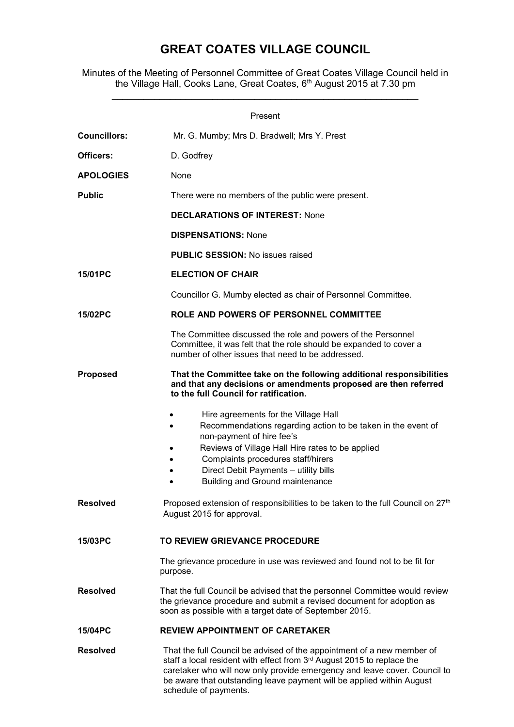## GREAT COATES VILLAGE COUNCIL

Minutes of the Meeting of Personnel Committee of Great Coates Village Council held in the Village Hall, Cooks Lane, Great Coates, 6<sup>th</sup> August 2015 at 7.30 pm

\_\_\_\_\_\_\_\_\_\_\_\_\_\_\_\_\_\_\_\_\_\_\_\_\_\_\_\_\_\_\_\_\_\_\_\_\_\_\_\_\_\_\_\_\_\_\_\_\_\_\_\_\_\_\_\_\_\_

| Present             |                                                                                                                                                                                                                                                                                                                                                                                                                    |
|---------------------|--------------------------------------------------------------------------------------------------------------------------------------------------------------------------------------------------------------------------------------------------------------------------------------------------------------------------------------------------------------------------------------------------------------------|
| <b>Councillors:</b> | Mr. G. Mumby; Mrs D. Bradwell; Mrs Y. Prest                                                                                                                                                                                                                                                                                                                                                                        |
| Officers:           | D. Godfrey                                                                                                                                                                                                                                                                                                                                                                                                         |
| <b>APOLOGIES</b>    | None                                                                                                                                                                                                                                                                                                                                                                                                               |
| <b>Public</b>       | There were no members of the public were present.                                                                                                                                                                                                                                                                                                                                                                  |
|                     | <b>DECLARATIONS OF INTEREST: None</b>                                                                                                                                                                                                                                                                                                                                                                              |
|                     | <b>DISPENSATIONS: None</b>                                                                                                                                                                                                                                                                                                                                                                                         |
|                     | <b>PUBLIC SESSION: No issues raised</b>                                                                                                                                                                                                                                                                                                                                                                            |
| 15/01PC             | <b>ELECTION OF CHAIR</b>                                                                                                                                                                                                                                                                                                                                                                                           |
|                     | Councillor G. Mumby elected as chair of Personnel Committee.                                                                                                                                                                                                                                                                                                                                                       |
| 15/02PC             | ROLE AND POWERS OF PERSONNEL COMMITTEE                                                                                                                                                                                                                                                                                                                                                                             |
|                     | The Committee discussed the role and powers of the Personnel<br>Committee, it was felt that the role should be expanded to cover a<br>number of other issues that need to be addressed.                                                                                                                                                                                                                            |
| <b>Proposed</b>     | That the Committee take on the following additional responsibilities<br>and that any decisions or amendments proposed are then referred<br>to the full Council for ratification.                                                                                                                                                                                                                                   |
| <b>Resolved</b>     | Hire agreements for the Village Hall<br>Recommendations regarding action to be taken in the event of<br>$\bullet$<br>non-payment of hire fee's<br>Reviews of Village Hall Hire rates to be applied<br>Complaints procedures staff/hirers<br>Direct Debit Payments - utility bills<br>Building and Ground maintenance<br>Proposed extension of responsibilities to be taken to the full Council on 27 <sup>th</sup> |
|                     | August 2015 for approval.                                                                                                                                                                                                                                                                                                                                                                                          |
| 15/03PC             | TO REVIEW GRIEVANCE PROCEDURE                                                                                                                                                                                                                                                                                                                                                                                      |
|                     | The grievance procedure in use was reviewed and found not to be fit for<br>purpose.                                                                                                                                                                                                                                                                                                                                |
| <b>Resolved</b>     | That the full Council be advised that the personnel Committee would review<br>the grievance procedure and submit a revised document for adoption as<br>soon as possible with a target date of September 2015.                                                                                                                                                                                                      |
| 15/04PC             | <b>REVIEW APPOINTMENT OF CARETAKER</b>                                                                                                                                                                                                                                                                                                                                                                             |
| <b>Resolved</b>     | That the full Council be advised of the appointment of a new member of<br>staff a local resident with effect from 3rd August 2015 to replace the<br>caretaker who will now only provide emergency and leave cover. Council to<br>be aware that outstanding leave payment will be applied within August<br>schedule of payments.                                                                                    |